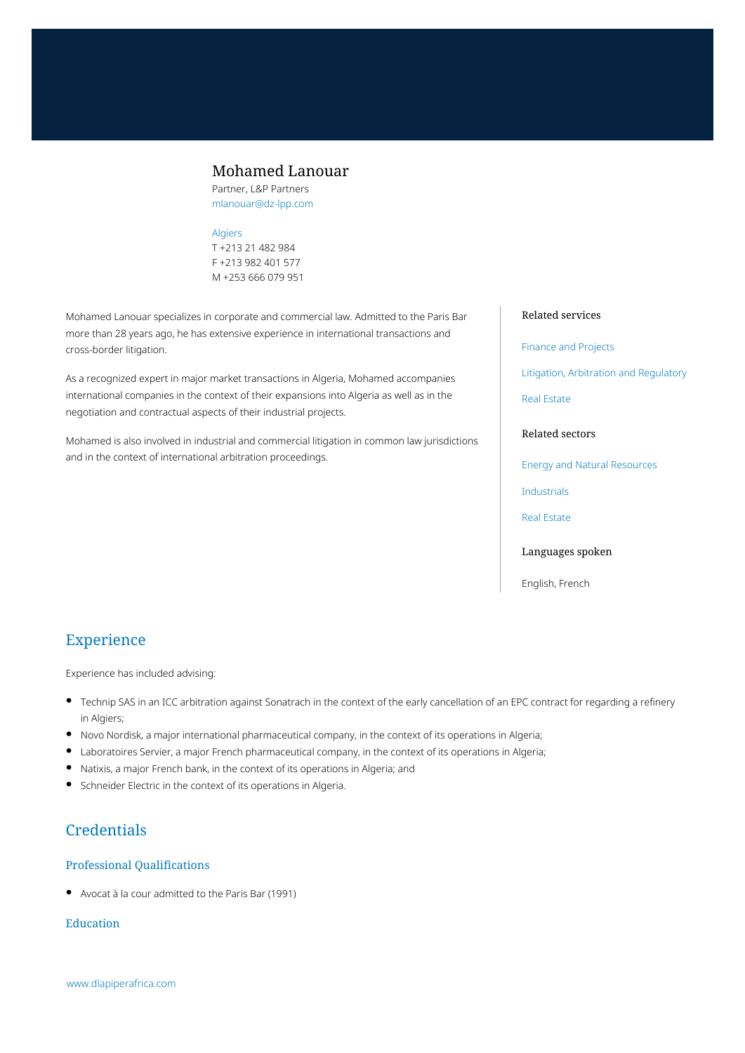## Mohamed Lanouar

Partner, L&P Partners mlanouar@dz-lpp.com

### [Algiers](https://www.dlapiperafrica.com/algeria/locations/algiers.html)

T +213 21 482 984 F +213 982 401 577 M +253 666 079 951

Mohamed Lanouar specializes in corporate and commercial law. Admitted to the Paris Bar more than 28 years ago, he has extensive experience in international transactions and cross-border litigation.

As a recognized expert in major market transactions in Algeria, Mohamed accompanies international companies in the context of their expansions into Algeria as well as in the negotiation and contractual aspects of their industrial projects.

Mohamed is also involved in industrial and commercial litigation in common law jurisdictions and in the context of international arbitration proceedings.

#### Related services

#### [Finance and Projects](https://www.dlapiperafrica.com/en/algeria/services/finance-and-projects.html)

[Litigation, Arbitration and Regulatory](https://www.dlapiperafrica.com/en/algeria/services/litigation-and-regulatory.html)

[Real Estate](https://www.dlapiperafrica.com/en/algeria/services/real-estate.html)

### Related sectors

[Energy and Natural Resources](https://www.dlapiperafrica.com/en/algeria/sectors/energy-and-natural-resources.html)

[Industrials](https://www.dlapiperafrica.com/en/algeria/sectors/industrials.html)

[Real Estate](https://www.dlapiperafrica.com/en/algeria/sectors/real-estate.html)

### Languages spoken

English, French

# Experience

Experience has included advising:

- Technip SAS in an ICC arbitration against Sonatrach in the context of the early cancellation of an EPC contract for regarding a refinery in Algiers;
- Novo Nordisk, a major international pharmaceutical company, in the context of its operations in Algeria;
- Laboratoires Servier, a major French pharmaceutical company, in the context of its operations in Algeria;
- Natixis, a major French bank, in the context of its operations in Algeria; and
- Schneider Electric in the context of its operations in Algeria.

# **Credentials**

### Professional Qualifications

Avocat à la cour admitted to the Paris Bar (1991)

### Education